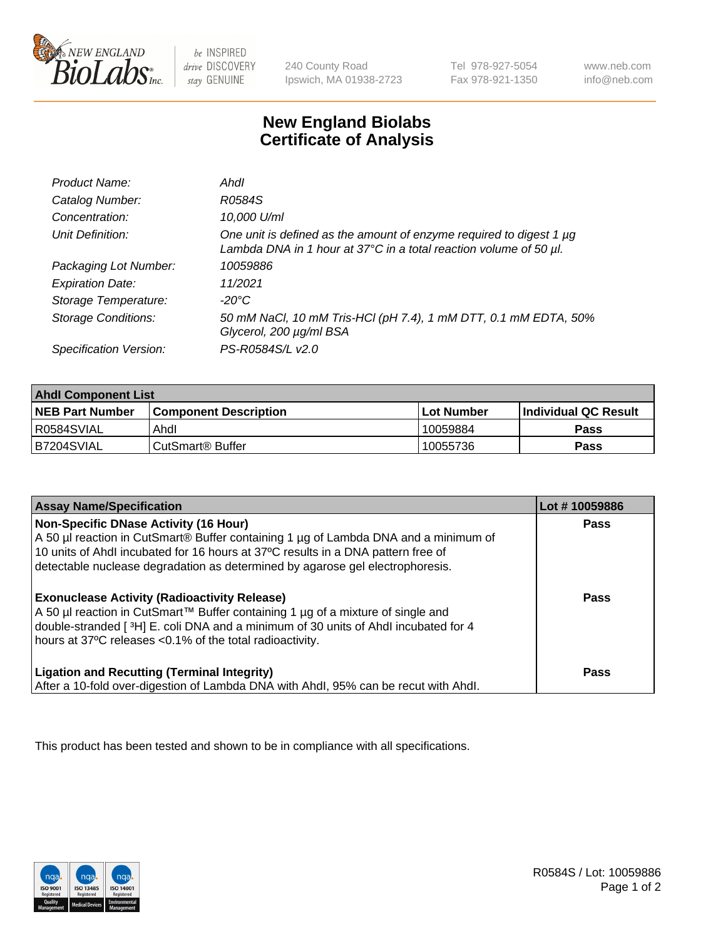

be INSPIRED drive DISCOVERY stay GENUINE

240 County Road Ipswich, MA 01938-2723 Tel 978-927-5054 Fax 978-921-1350

www.neb.com info@neb.com

## **New England Biolabs Certificate of Analysis**

| Product Name:              | Ahdl                                                                                                                                     |
|----------------------------|------------------------------------------------------------------------------------------------------------------------------------------|
| Catalog Number:            | R0584S                                                                                                                                   |
| Concentration:             | 10,000 U/ml                                                                                                                              |
| Unit Definition:           | One unit is defined as the amount of enzyme required to digest 1 µg<br>Lambda DNA in 1 hour at 37°C in a total reaction volume of 50 µl. |
| Packaging Lot Number:      | 10059886                                                                                                                                 |
| <b>Expiration Date:</b>    | 11/2021                                                                                                                                  |
| Storage Temperature:       | -20°C                                                                                                                                    |
| <b>Storage Conditions:</b> | 50 mM NaCl, 10 mM Tris-HCl (pH 7.4), 1 mM DTT, 0.1 mM EDTA, 50%<br>Glycerol, 200 µg/ml BSA                                               |
| Specification Version:     | PS-R0584S/L v2.0                                                                                                                         |

| <b>Ahdl Component List</b> |                              |              |                             |  |
|----------------------------|------------------------------|--------------|-----------------------------|--|
| <b>NEB Part Number</b>     | <b>Component Description</b> | l Lot Number | <b>Individual QC Result</b> |  |
| R0584SVIAL                 | Ahdl                         | 10059884     | Pass                        |  |
| B7204SVIAL                 | l CutSmart® Buffer           | 10055736     | Pass                        |  |

| <b>Assay Name/Specification</b>                                                                                                                                                                                                                                                                                      | Lot #10059886 |
|----------------------------------------------------------------------------------------------------------------------------------------------------------------------------------------------------------------------------------------------------------------------------------------------------------------------|---------------|
| <b>Non-Specific DNase Activity (16 Hour)</b><br>A 50 µl reaction in CutSmart <sup>®</sup> Buffer containing 1 µg of Lambda DNA and a minimum of<br>10 units of Ahdl incubated for 16 hours at 37°C results in a DNA pattern free of<br>detectable nuclease degradation as determined by agarose gel electrophoresis. | Pass          |
| <b>Exonuclease Activity (Radioactivity Release)</b><br>A 50 µl reaction in CutSmart™ Buffer containing 1 µg of a mixture of single and<br>double-stranded [3H] E. coli DNA and a minimum of 30 units of Ahdl incubated for 4<br>hours at 37°C releases < 0.1% of the total radioactivity.                            | Pass          |
| <b>Ligation and Recutting (Terminal Integrity)</b><br>After a 10-fold over-digestion of Lambda DNA with Ahdl, 95% can be recut with Ahdl.                                                                                                                                                                            | Pass          |

This product has been tested and shown to be in compliance with all specifications.